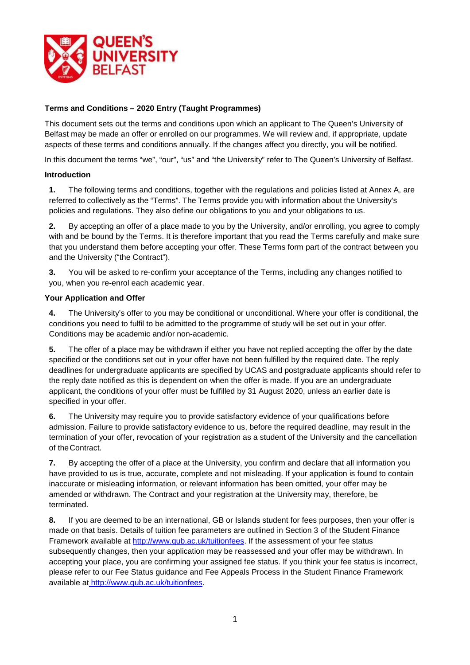

## **Terms and Conditions – 2020 Entry (Taught Programmes)**

This document sets out the terms and conditions upon which an applicant to The Queen's University of Belfast may be made an offer or enrolled on our programmes. We will review and, if appropriate, update aspects of these terms and conditions annually. If the changes affect you directly, you will be notified.

In this document the terms "we", "our", "us" and "the University" refer to The Queen's University of Belfast.

#### **Introduction**

**1.** The following terms and conditions, together with the regulations and policies listed at Annex A, are referred to collectively as the "Terms". The Terms provide you with information about the University's policies and regulations. They also define our obligations to you and your obligations to us.

**2.** By accepting an offer of a place made to you by the University, and/or enrolling, you agree to comply with and be bound by the Terms. It is therefore important that you read the Terms carefully and make sure that you understand them before accepting your offer. These Terms form part of the contract between you and the University ("the Contract").

**3.** You will be asked to re-confirm your acceptance of the Terms, including any changes notified to you, when you re-enrol each academic year.

#### **Your Application and Offer**

**4.** The University's offer to you may be conditional or unconditional. Where your offer is conditional, the conditions you need to fulfil to be admitted to the programme of study will be set out in your offer. Conditions may be academic and/or non-academic.

**5.** The offer of a place may be withdrawn if either you have not replied accepting the offer by the date specified or the conditions set out in your offer have not been fulfilled by the required date. The reply deadlines for undergraduate applicants are specified by UCAS and postgraduate applicants should refer to the reply date notified as this is dependent on when the offer is made. If you are an undergraduate applicant, the conditions of your offer must be fulfilled by 31 August 2020, unless an earlier date is specified in your offer.

**6.** The University may require you to provide satisfactory evidence of your qualifications before admission. Failure to provide satisfactory evidence to us, before the required deadline, may result in the termination of your offer, revocation of your registration as a student of the University and the cancellation of theContract.

**7.** By accepting the offer of a place at the University, you confirm and declare that all information you have provided to us is true, accurate, complete and not misleading. If your application is found to contain inaccurate or misleading information, or relevant information has been omitted, your offer may be amended or withdrawn. The Contract and your registration at the University may, therefore, be terminated.

**8.** If you are deemed to be an international, GB or Islands student for fees purposes, then your offer is made on that basis. Details of tuition fee parameters are outlined in Section 3 of the Student Finance Framework available at [http://www.qub.ac.uk/tuitionfees. I](http://www.qub.ac.uk/tuitionfees)f the assessment of your fee status subsequently changes, then your application may be reassessed and your offer may be withdrawn. In accepting your place, you are confirming your assigned fee status. If you think your fee status is incorrect, please refer to our Fee Status guidance and Fee Appeals Process in the Student Finance Framework available at [http://www.qub.ac.uk/tuitionfees.](http://www.qub.ac.uk/tuitionfees)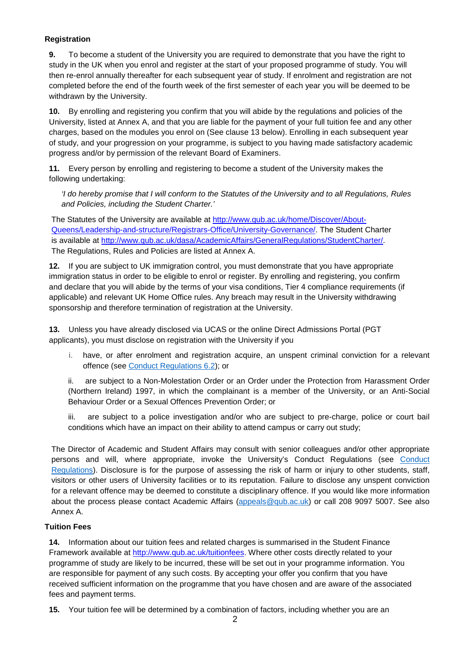### **Registration**

**9.** To become a student of the University you are required to demonstrate that you have the right to study in the UK when you enrol and register at the start of your proposed programme of study. You will then re-enrol annually thereafter for each subsequent year of study. If enrolment and registration are not completed before the end of the fourth week of the first semester of each year you will be deemed to be withdrawn by the University.

**10.** By enrolling and registering you confirm that you will abide by the regulations and policies of the University, listed at Annex A, and that you are liable for the payment of your full tuition fee and any other charges, based on the modules you enrol on (See clause 13 below). Enrolling in each subsequent year of study, and your progression on your programme, is subject to you having made satisfactory academic progress and/or by permission of the relevant Board of Examiners.

**11.** Every person by enrolling and registering to become a student of the University makes the following undertaking:

*'I do hereby promise that I will conform to the Statutes of the University and to all Regulations, Rules and Policies, including the Student Charter.'*

The Statutes of the University are available at [http://www.qub.ac.uk/home/Discover/About-](http://www.qub.ac.uk/home/Discover/About-Queens/Leadership-and-structure/Registrars-Office/University-Governance/)[Queens/Leadership-and-structure/Registrars-Office/University-Governance/. T](http://www.qub.ac.uk/home/Discover/About-Queens/Leadership-and-structure/Registrars-Office/University-Governance/)he Student Charter is available at [http://www.qub.ac.uk/dasa/AcademicAffairs/GeneralRegulations/StudentCharter/.](http://www.qub.ac.uk/dasa/AcademicAffairs/GeneralRegulations/StudentCharter/)  The Regulations, Rules and Policies are listed at Annex A.

**12.** If you are subject to UK immigration control, you must demonstrate that you have appropriate immigration status in order to be eligible to enrol or register. By enrolling and registering, you confirm and declare that you will abide by the terms of your visa conditions, Tier 4 compliance requirements (if applicable) and relevant UK Home Office rules. Any breach may result in the University withdrawing sponsorship and therefore termination of registration at the University.

**13.** Unless you have already disclosed via UCAS or the online Direct Admissions Portal (PGT applicants), you must disclose on registration with the University if you

i. have, or after enrolment and registration acquire, an unspent criminal conviction for a relevant offence (see [Conduct Regulations 6.2\)](http://www.qub.ac.uk/directorates/AcademicStudentAffairs/AcademicAffairs/GeneralRegulations/ConductRegulations/); or

ii. are subject to a Non-Molestation Order or an Order under the Protection from Harassment Order (Northern Ireland) 1997, in which the complainant is a member of the University, or an Anti-Social Behaviour Order or a Sexual Offences Prevention Order; or

iii. are subject to a police investigation and/or who are subject to pre-charge, police or court bail conditions which have an impact on their ability to attend campus or carry out study;

The Director of Academic and Student Affairs may consult with senior colleagues and/or other appropriate persons and will, where appropriate, invoke the University's Conduct Regulations (see [Conduct](http://www.qub.ac.uk/directorates/AcademicStudentAffairs/AcademicAffairs/GeneralRegulations/ConductRegulations/)  [Regulations\)](http://www.qub.ac.uk/directorates/AcademicStudentAffairs/AcademicAffairs/GeneralRegulations/ConductRegulations/). Disclosure is for the purpose of assessing the risk of harm or injury to other students, staff, visitors or other users of University facilities or to its reputation. Failure to disclose any unspent conviction for a relevant offence may be deemed to constitute a disciplinary offence. If you would like more information about the process please contact Academic Affairs [\(appeals@qub.ac.uk\)](mailto:appeals@qub.ac.uk) or call 208 9097 5007. See also Annex A.

#### **Tuition Fees**

**14.** Information about our tuition fees and related charges is summarised in the Student Finance Framework available at [http://www.qub.ac.uk/tuitionfees. W](http://www.qub.ac.uk/tuitionfees)here other costs directly related to your programme of study are likely to be incurred, these will be set out in your programme information. You are responsible for payment of any such costs. By accepting your offer you confirm that you have received sufficient information on the programme that you have chosen and are aware of the associated fees and payment terms.

**15.** Your tuition fee will be determined by a combination of factors, including whether you are an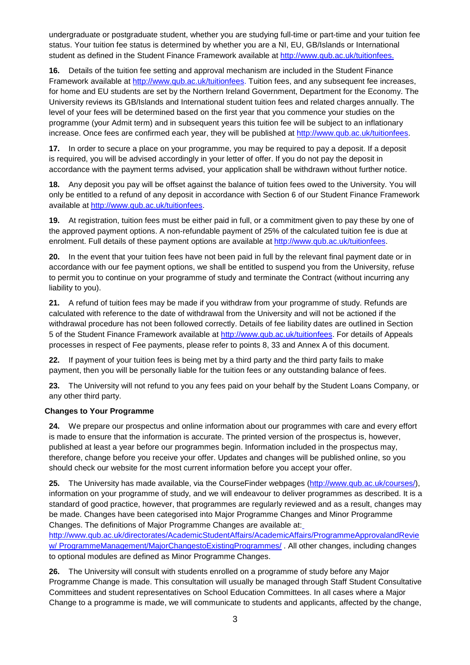undergraduate or postgraduate student, whether you are studying full-time or part-time and your tuition fee status. Your tuition fee status is determined by whether you are a NI, EU, GB/Islands or International student as defined in the Student Finance Framework available at [http://www.qub.ac.uk/tuitionfees.](http://www.qub.ac.uk/tuitionfees)

**16.** Details of the tuition fee setting and approval mechanism are included in the Student Finance Framework available at [http://www.qub.ac.uk/tuitionfees. T](http://www.qub.ac.uk/tuitionfees)uition fees, and any subsequent fee increases, for home and EU students are set by the Northern Ireland Government, Department for the Economy. The University reviews its GB/Islands and International student tuition fees and related charges annually. The level of your fees will be determined based on the first year that you commence your studies on the programme (your Admit term) and in subsequent years this tuition fee will be subject to an inflationary increase. Once fees are confirmed each year, they will be published at [http://www.qub.ac.uk/tuitionfees.](http://www.qub.ac.uk/tuitionfees)

**17.** In order to secure a place on your programme, you may be required to pay a deposit. If a deposit is required, you will be advised accordingly in your letter of offer. If you do not pay the deposit in accordance with the payment terms advised, your application shall be withdrawn without further notice.

**18.** Any deposit you pay will be offset against the balance of tuition fees owed to the University. You will only be entitled to a refund of any deposit in accordance with Section 6 of our Student Finance Framework available at [http://www.qub.ac.uk/tuitionfees.](http://www.qub.ac.uk/tuitionfees)

**19.** At registration, tuition fees must be either paid in full, or a commitment given to pay these by one of the approved payment options. A non-refundable payment of 25% of the calculated tuition fee is due at enrolment. Full details of these payment options are available at [http://www.qub.ac.uk/tuitionfees.](http://www.qub.ac.uk/tuitionfees)

**20.** In the event that your tuition fees have not been paid in full by the relevant final payment date or in accordance with our fee payment options, we shall be entitled to suspend you from the University, refuse to permit you to continue on your programme of study and terminate the Contract (without incurring any liability to you).

**21.** A refund of tuition fees may be made if you withdraw from your programme of study. Refunds are calculated with reference to the date of withdrawal from the University and will not be actioned if the withdrawal procedure has not been followed correctly. Details of fee liability dates are outlined in Section 5 of the Student Finance Framework available at [http://www.qub.ac.uk/tuitionfees.](http://www.qub.ac.uk/tuitionfees) For details of Appeals processes in respect of Fee payments, please refer to points 8, 33 and Annex A of this document.

**22.** If payment of your tuition fees is being met by a third party and the third party fails to make payment, then you will be personally liable for the tuition fees or any outstanding balance of fees.

**23.** The University will not refund to you any fees paid on your behalf by the Student Loans Company, or any other third party.

# **Changes to Your Programme**

**24.** We prepare our prospectus and online information about our programmes with care and every effort is made to ensure that the information is accurate. The printed version of the prospectus is, however, published at least a year before our programmes begin. Information included in the prospectus may, therefore, change before you receive your offer. Updates and changes will be published online, so you should check our website for the most current information before you accept your offer.

**25.** The University has made available, via the CourseFinder webpages [\(http://www.qub.ac.uk/courses/\)](http://www.qub.ac.uk/courses/), information on your programme of study, and we will endeavour to deliver programmes as described. It is a standard of good practice, however, that programmes are regularly reviewed and as a result, changes may be made. Changes have been categorised into Major Programme Changes and Minor Programme Changes. The definitions of Major Programme Changes are available at[:](http://www.qub.ac.uk/directorates/AcademicStudentAffairs/AcademicAffairs/ProgrammeApprovalandReview/ProgrammeManagement/MajorChangestoExistingProgrammes/)

[http://www.qub.ac.uk/directorates/AcademicStudentAffairs/AcademicAffairs/ProgrammeApprovalandRevie](http://www.qub.ac.uk/directorates/AcademicStudentAffairs/AcademicAffairs/ProgrammeApprovalandReview/ProgrammeManagement/MajorChangestoExistingProgrammes/) [w/](http://www.qub.ac.uk/directorates/AcademicStudentAffairs/AcademicAffairs/ProgrammeApprovalandReview/ProgrammeManagement/MajorChangestoExistingProgrammes/) [ProgrammeManagement/MajorChangestoExistingProgrammes/](http://www.qub.ac.uk/directorates/AcademicStudentAffairs/AcademicAffairs/ProgrammeApprovalandReview/ProgrammeManagement/MajorChangestoExistingProgrammes/) . All other changes, including changes to optional modules are defined as Minor Programme Changes.

**26.** The University will consult with students enrolled on a programme of study before any Major Programme Change is made. This consultation will usually be managed through Staff Student Consultative Committees and student representatives on School Education Committees. In all cases where a Major Change to a programme is made, we will communicate to students and applicants, affected by the change,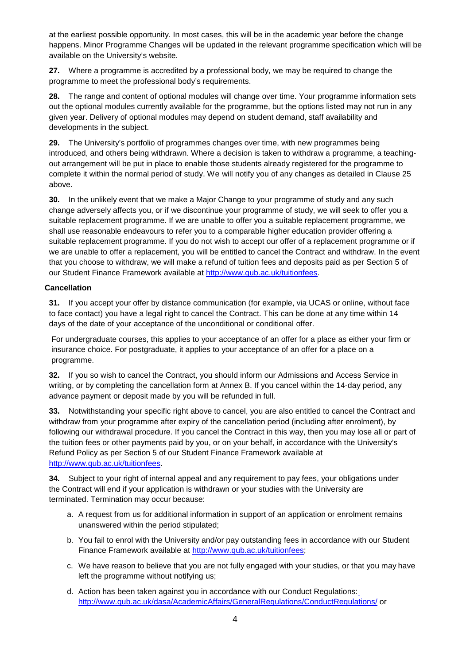at the earliest possible opportunity. In most cases, this will be in the academic year before the change happens. Minor Programme Changes will be updated in the relevant programme specification which will be available on the University's website.

**27.** Where a programme is accredited by a professional body, we may be required to change the programme to meet the professional body's requirements.

**28.** The range and content of optional modules will change over time. Your programme information sets out the optional modules currently available for the programme, but the options listed may not run in any given year. Delivery of optional modules may depend on student demand, staff availability and developments in the subject.

**29.** The University's portfolio of programmes changes over time, with new programmes being introduced, and others being withdrawn. Where a decision is taken to withdraw a programme, a teachingout arrangement will be put in place to enable those students already registered for the programme to complete it within the normal period of study. We will notify you of any changes as detailed in Clause 25 above.

**30.** In the unlikely event that we make a Major Change to your programme of study and any such change adversely affects you, or if we discontinue your programme of study, we will seek to offer you a suitable replacement programme. If we are unable to offer you a suitable replacement programme, we shall use reasonable endeavours to refer you to a comparable higher education provider offering a suitable replacement programme. If you do not wish to accept our offer of a replacement programme or if we are unable to offer a replacement, you will be entitled to cancel the Contract and withdraw. In the event that you choose to withdraw, we will make a refund of tuition fees and deposits paid as per Section 5 of our Student Finance Framework available at [http://www.qub.ac.uk/tuitionfees.](http://www.qub.ac.uk/tuitionfees)

### **Cancellation**

**31.** If you accept your offer by distance communication (for example, via UCAS or online, without face to face contact) you have a legal right to cancel the Contract. This can be done at any time within 14 days of the date of your acceptance of the unconditional or conditional offer.

For undergraduate courses, this applies to your acceptance of an offer for a place as either your firm or insurance choice. For postgraduate, it applies to your acceptance of an offer for a place on a programme.

**32.** If you so wish to cancel the Contract, you should inform our Admissions and Access Service in writing, or by completing the cancellation form at Annex B. If you cancel within the 14-day period, any advance payment or deposit made by you will be refunded in full.

**33.** Notwithstanding your specific right above to cancel, you are also entitled to cancel the Contract and withdraw from your programme after expiry of the cancellation period (including after enrolment), by following our withdrawal procedure. If you cancel the Contract in this way, then you may lose all or part of the tuition fees or other payments paid by you, or on your behalf, in accordance with the University's Refund Policy as per Section 5 of our Student Finance Framework available at [http://www.qub.ac.uk/tuitionfees.](http://www.qub.ac.uk/tuitionfees)

**34.** Subject to your right of internal appeal and any requirement to pay fees, your obligations under the Contract will end if your application is withdrawn or your studies with the University are terminated. Termination may occur because:

- a. A request from us for additional information in support of an application or enrolment remains unanswered within the period stipulated;
- b. You fail to enrol with the University and/or pay outstanding fees in accordance with our Student Finance Framework available at [http://www.qub.ac.uk/tuitionfees;](http://www.qub.ac.uk/tuitionfees)
- c. We have reason to believe that you are not fully engaged with your studies, or that you may have left the programme without notifying us;
- d. Action has been taken against you in accordance with our Conduct Regulations: <http://www.qub.ac.uk/dasa/AcademicAffairs/GeneralRegulations/ConductRegulations/> or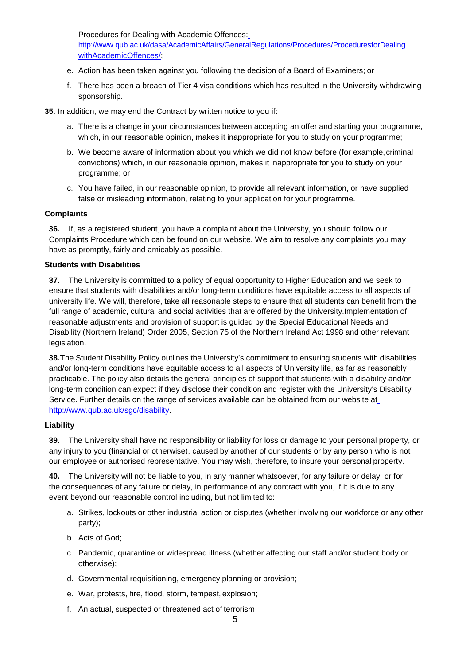Procedures for Dealing with Academic Offences[:](http://www.qub.ac.uk/dasa/AcademicAffairs/GeneralRegulations/Procedures/ProceduresforDealingwithAcademicOffences/)

[http://www.qub.ac.uk/dasa/AcademicAffairs/GeneralRegulations/Procedures/ProceduresforDealing](http://www.qub.ac.uk/dasa/AcademicAffairs/GeneralRegulations/Procedures/ProceduresforDealingwithAcademicOffences/) [withAcademicOffences/;](http://www.qub.ac.uk/dasa/AcademicAffairs/GeneralRegulations/Procedures/ProceduresforDealingwithAcademicOffences/)

- e. Action has been taken against you following the decision of a Board of Examiners; or
- f. There has been a breach of Tier 4 visa conditions which has resulted in the University withdrawing sponsorship.

**35.** In addition, we may end the Contract by written notice to you if:

- a. There is a change in your circumstances between accepting an offer and starting your programme, which, in our reasonable opinion, makes it inappropriate for you to study on your programme;
- b. We become aware of information about you which we did not know before (for example,criminal convictions) which, in our reasonable opinion, makes it inappropriate for you to study on your programme; or
- c. You have failed, in our reasonable opinion, to provide all relevant information, or have supplied false or misleading information, relating to your application for your programme.

### **Complaints**

**36.** If, as a registered student, you have a complaint about the University, you should follow our Complaints Procedure which can be found on our website. We aim to resolve any complaints you may have as promptly, fairly and amicably as possible.

### **Students with Disabilities**

**37.** The University is committed to a policy of equal opportunity to Higher Education and we seek to ensure that students with disabilities and/or long-term conditions have equitable access to all aspects of university life. We will, therefore, take all reasonable steps to ensure that all students can benefit from the full range of academic, cultural and social activities that are offered by the University.Implementation of reasonable adjustments and provision of support is guided by the Special Educational Needs and Disability (Northern Ireland) Order 2005, Section 75 of the Northern Ireland Act 1998 and other relevant legislation.

**38.**The Student Disability Policy outlines the University's commitment to ensuring students with disabilities and/or long-term conditions have equitable access to all aspects of University life, as far as reasonably practicable. The policy also details the general principles of support that students with a disability and/or long-term condition can expect if they disclose their condition and register with the University's Disability Service. Further details on the range of services available can be obtained from our website at [http://www.qub.ac.uk/sgc/disability.](http://www.qub.ac.uk/sgc/disability)

# **Liability**

**39.** The University shall have no responsibility or liability for loss or damage to your personal property, or any injury to you (financial or otherwise), caused by another of our students or by any person who is not our employee or authorised representative. You may wish, therefore, to insure your personal property.

**40.** The University will not be liable to you, in any manner whatsoever, for any failure or delay, or for the consequences of any failure or delay, in performance of any contract with you, if it is due to any event beyond our reasonable control including, but not limited to:

- a. Strikes, lockouts or other industrial action or disputes (whether involving our workforce or any other party);
- b. Acts of God;
- c. Pandemic, quarantine or widespread illness (whether affecting our staff and/or student body or otherwise);
- d. Governmental requisitioning, emergency planning or provision;
- e. War, protests, fire, flood, storm, tempest, explosion;
- f. An actual, suspected or threatened act of terrorism;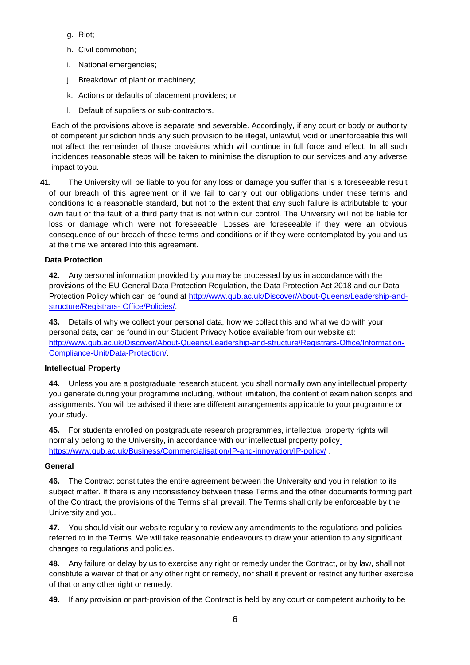- g. Riot;
- h. Civil commotion;
- i. National emergencies;
- j. Breakdown of plant or machinery;
- k. Actions or defaults of placement providers; or
- l. Default of suppliers or sub-contractors.

Each of the provisions above is separate and severable. Accordingly, if any court or body or authority of competent jurisdiction finds any such provision to be illegal, unlawful, void or unenforceable this will not affect the remainder of those provisions which will continue in full force and effect. In all such incidences reasonable steps will be taken to minimise the disruption to our services and any adverse impact toyou.

**41.** The University will be liable to you for any loss or damage you suffer that is a foreseeable result of our breach of this agreement or if we fail to carry out our obligations under these terms and conditions to a reasonable standard, but not to the extent that any such failure is attributable to your own fault or the fault of a third party that is not within our control. The University will not be liable for loss or damage which were not foreseeable. Losses are foreseeable if they were an obvious consequence of our breach of these terms and conditions or if they were contemplated by you and us at the time we entered into this agreement.

# **Data Protection**

**42.** Any personal information provided by you may be processed by us in accordance with the provisions of the EU General Data Protection Regulation, the Data Protection Act 2018 and our Data Protection Policy which can be found at [http://www.qub.ac.uk/Discover/About-Queens/Leadership-and](http://www.qub.ac.uk/Discover/About-Queens/Leadership-and-structure/Registrars-Office/Policies/)[structure/Registrars-](http://www.qub.ac.uk/Discover/About-Queens/Leadership-and-structure/Registrars-Office/Policies/) [Office/Policies/.](http://www.qub.ac.uk/Discover/About-Queens/Leadership-and-structure/Registrars-Office/Policies/)

**43.** Details of why we collect your personal data, how we collect this and what we do with your personal data, can be found in our Student Privacy Notice available from our website at: [http://www.qub.ac.uk/Discover/About-Queens/Leadership-and-structure/Registrars-Office/Information-](http://www.qub.ac.uk/Discover/About-Queens/Leadership-and-structure/Registrars-Office/Information-Compliance-Unit/Data-Protection/)[Compliance-Unit/Data-Protection/.](http://www.qub.ac.uk/Discover/About-Queens/Leadership-and-structure/Registrars-Office/Information-Compliance-Unit/Data-Protection/)

# **Intellectual Property**

**44.** Unless you are a postgraduate research student, you shall normally own any intellectual property you generate during your programme including, without limitation, the content of examination scripts and assignments. You will be advised if there are different arrangements applicable to your programme or your study.

**45.** For students enrolled on postgraduate research programmes, intellectual property rights will normally belong to the University, in accordance with our intellectual property policy <https://www.qub.ac.uk/Business/Commercialisation/IP-and-innovation/IP-policy/> .

# **General**

**46.** The Contract constitutes the entire agreement between the University and you in relation to its subject matter. If there is any inconsistency between these Terms and the other documents forming part of the Contract, the provisions of the Terms shall prevail. The Terms shall only be enforceable by the University and you.

**47.** You should visit our website regularly to review any amendments to the regulations and policies referred to in the Terms. We will take reasonable endeavours to draw your attention to any significant changes to regulations and policies.

**48.** Any failure or delay by us to exercise any right or remedy under the Contract, or by law, shall not constitute a waiver of that or any other right or remedy, nor shall it prevent or restrict any further exercise of that or any other right or remedy.

**49.** If any provision or part-provision of the Contract is held by any court or competent authority to be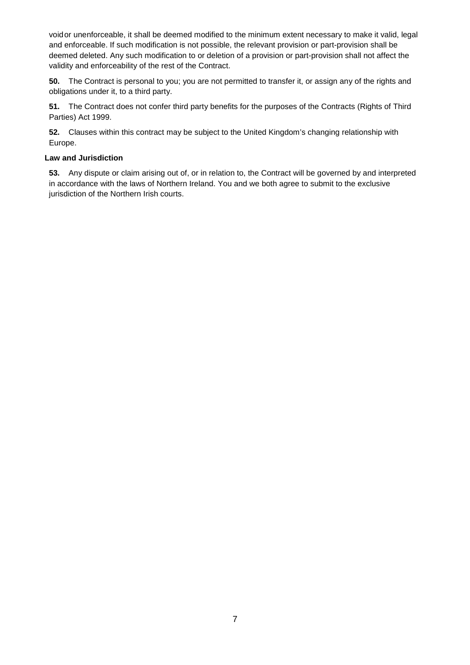voidor unenforceable, it shall be deemed modified to the minimum extent necessary to make it valid, legal and enforceable. If such modification is not possible, the relevant provision or part-provision shall be deemed deleted. Any such modification to or deletion of a provision or part-provision shall not affect the validity and enforceability of the rest of the Contract.

**50.** The Contract is personal to you; you are not permitted to transfer it, or assign any of the rights and obligations under it, to a third party.

**51.** The Contract does not confer third party benefits for the purposes of the Contracts (Rights of Third Parties) Act 1999.

**52.** Clauses within this contract may be subject to the United Kingdom's changing relationship with Europe.

#### **Law and Jurisdiction**

**53.** Any dispute or claim arising out of, or in relation to, the Contract will be governed by and interpreted in accordance with the laws of Northern Ireland. You and we both agree to submit to the exclusive jurisdiction of the Northern Irish courts.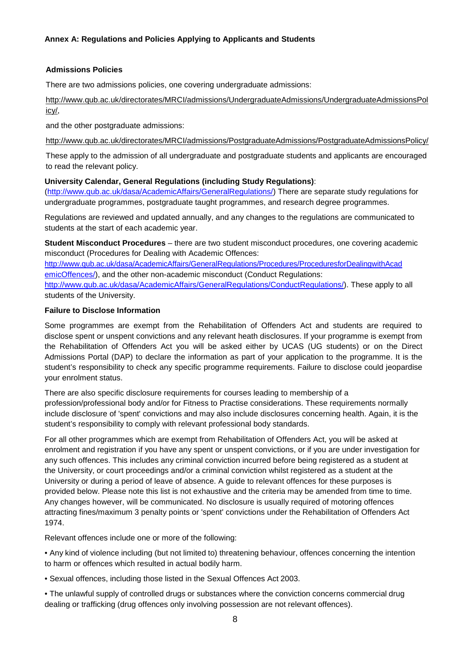#### **Admissions Policies**

There are two admissions policies, one covering undergraduate admissions:

[http://www.qub.ac.uk/directorates/MRCI/admissions/UndergraduateAdmissions/UndergraduateAdmissionsPol](http://www.qub.ac.uk/directorates/MRCI/admissions/UndergraduateAdmissions/UndergraduateAdmissionsPolicy/) [icy/,](http://www.qub.ac.uk/directorates/MRCI/admissions/UndergraduateAdmissions/UndergraduateAdmissionsPolicy/)

and the other postgraduate admissions:

<http://www.qub.ac.uk/directorates/MRCI/admissions/PostgraduateAdmissions/PostgraduateAdmissionsPolicy/>

These apply to the admission of all undergraduate and postgraduate students and applicants are encouraged to read the relevant policy.

### **University Calendar, General Regulations (including Study Regulations)**:

[\(http://www.qub.ac.uk/dasa/AcademicAffairs/GeneralRegulations/\)](http://www.qub.ac.uk/dasa/AcademicAffairs/GeneralRegulations/) There are separate study regulations for undergraduate programmes, postgraduate taught programmes, and research degree programmes.

Regulations are reviewed and updated annually, and any changes to the regulations are communicated to students at the start of each academic year.

**Student Misconduct Procedures** – there are two student misconduct procedures, one covering academic misconduct (Procedures for Dealing with Academic Offences:

[http://www.qub.ac.uk/dasa/AcademicAffairs/GeneralRegulations/Procedures/ProceduresforDealingwithAcad](http://www.qub.ac.uk/dasa/AcademicAffairs/GeneralRegulations/Procedures/ProceduresforDealingwithAcademicOffences/) [emicOffences/\)](http://www.qub.ac.uk/dasa/AcademicAffairs/GeneralRegulations/Procedures/ProceduresforDealingwithAcademicOffences/), and the other non-academic misconduct (Conduct Regulations:

[http://www.qub.ac.uk/dasa/AcademicAffairs/GeneralRegulations/ConductRegulations/\)](http://www.qub.ac.uk/dasa/AcademicAffairs/GeneralRegulations/ConductRegulations/). These apply to all students of the University.

### **Failure to Disclose Information**

Some programmes are exempt from the Rehabilitation of Offenders Act and students are required to disclose spent or unspent convictions and any relevant heath disclosures. If your programme is exempt from the Rehabilitation of Offenders Act you will be asked either by UCAS (UG students) or on the Direct Admissions Portal (DAP) to declare the information as part of your application to the programme. It is the student's responsibility to check any specific programme requirements. Failure to disclose could jeopardise your enrolment status.

There are also specific disclosure requirements for courses leading to membership of a profession/professional body and/or for Fitness to Practise considerations. These requirements normally include disclosure of 'spent' convictions and may also include disclosures concerning health. Again, it is the student's responsibility to comply with relevant professional body standards.

For all other programmes which are exempt from Rehabilitation of Offenders Act, you will be asked at enrolment and registration if you have any spent or unspent convictions, or if you are under investigation for any such offences. This includes any criminal conviction incurred before being registered as a student at the University, or court proceedings and/or a criminal conviction whilst registered as a student at the University or during a period of leave of absence. A guide to relevant offences for these purposes is provided below. Please note this list is not exhaustive and the criteria may be amended from time to time. Any changes however, will be communicated. No disclosure is usually required of motoring offences attracting fines/maximum 3 penalty points or 'spent' convictions under the Rehabilitation of Offenders Act 1974.

Relevant offences include one or more of the following:

• Any kind of violence including (but not limited to) threatening behaviour, offences concerning the intention to harm or offences which resulted in actual bodily harm.

• Sexual offences, including those listed in the Sexual Offences Act 2003.

• The unlawful supply of controlled drugs or substances where the conviction concerns commercial drug dealing or trafficking (drug offences only involving possession are not relevant offences).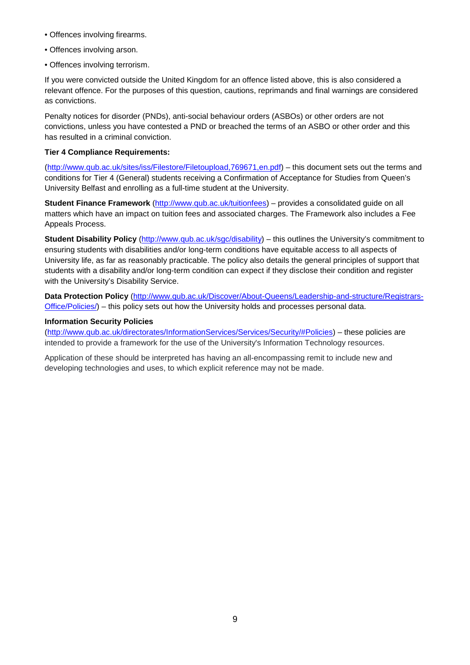- Offences involving firearms.
- Offences involving arson.
- Offences involving terrorism.

If you were convicted outside the United Kingdom for an offence listed above, this is also considered a relevant offence. For the purposes of this question, cautions, reprimands and final warnings are considered as convictions.

Penalty notices for disorder (PNDs), anti-social behaviour orders (ASBOs) or other orders are not convictions, unless you have contested a PND or breached the terms of an ASBO or other order and this has resulted in a criminal conviction.

#### **Tier 4 Compliance Requirements:**

[\(http://www.qub.ac.uk/sites/iss/Filestore/Filetoupload,769671,en.pdf\)](http://www.qub.ac.uk/sites/iss/Filestore/Filetoupload%2C769671%2Cen.pdf) – this document sets out the terms and conditions for Tier 4 (General) students receiving a Confirmation of Acceptance for Studies from Queen's University Belfast and enrolling as a full-time student at the University.

**Student Finance Framework** [\(http://www.qub.ac.uk/tuitionfees\)](http://www.qub.ac.uk/tuitionfees) – provides a consolidated guide on all matters which have an impact on tuition fees and associated charges. The Framework also includes a Fee Appeals Process.

**Student Disability Policy** [\(http://www.qub.ac.uk/sgc/disability\) –](http://www.qub.ac.uk/sgc/disability) this outlines the University's commitment to ensuring students with disabilities and/or long-term conditions have equitable access to all aspects of University life, as far as reasonably practicable. The policy also details the general principles of support that students with a disability and/or long-term condition can expect if they disclose their condition and register with the University's Disability Service.

**Data Protection Policy** [\(http://www.qub.ac.uk/Discover/About-Queens/Leadership-and-structure/Registrars-](http://www.qub.ac.uk/Discover/About-Queens/Leadership-and-structure/Registrars-Office/Policies/)[Office/Policies/\)](http://www.qub.ac.uk/Discover/About-Queens/Leadership-and-structure/Registrars-Office/Policies/) – this policy sets out how the University holds and processes personal data.

#### **Information Security Policies**

[\(http://www.qub.ac.uk/directorates/InformationServices/Services/Security/#Policies\)](http://www.qub.ac.uk/directorates/InformationServices/Services/Security/#Policies) – these policies are intended to provide a framework for the use of the University's Information Technology resources.

Application of these should be interpreted has having an all-encompassing remit to include new and developing technologies and uses, to which explicit reference may not be made.